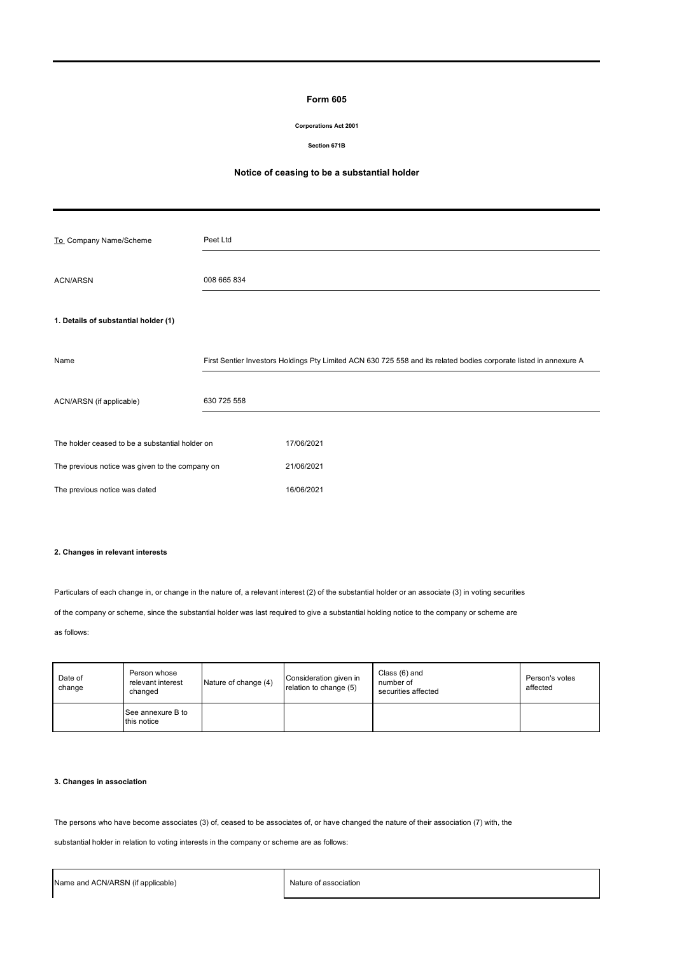## **Form 605**

### **Corporations Act 2001**

### **Section 671B**

# **Notice of ceasing to be a substantial holder**

| To_Company Name/Scheme                          | Peet Ltd    |                                                                                                                    |
|-------------------------------------------------|-------------|--------------------------------------------------------------------------------------------------------------------|
| <b>ACN/ARSN</b>                                 | 008 665 834 |                                                                                                                    |
| 1. Details of substantial holder (1)            |             |                                                                                                                    |
| Name                                            |             | First Sentier Investors Holdings Pty Limited ACN 630 725 558 and its related bodies corporate listed in annexure A |
| ACN/ARSN (if applicable)                        | 630 725 558 |                                                                                                                    |
| The holder ceased to be a substantial holder on |             | 17/06/2021                                                                                                         |
| The previous notice was given to the company on |             | 21/06/2021                                                                                                         |
| The previous notice was dated                   |             | 16/06/2021                                                                                                         |

# **2. Changes in relevant interests**

Particulars of each change in, or change in the nature of, a relevant interest (2) of the substantial holder or an associate (3) in voting securities

of the company or scheme, since the substantial holder was last required to give a substantial holding notice to the company or scheme are

as follows:

| Date of<br>change | Person whose<br>relevant interest<br>changed | Nature of change (4) | Consideration given in<br>relation to change (5) | Class (6) and<br>number of<br>securities affected | Person's votes<br>affected |
|-------------------|----------------------------------------------|----------------------|--------------------------------------------------|---------------------------------------------------|----------------------------|
|                   | See annexure B to<br>this notice             |                      |                                                  |                                                   |                            |

# **3. Changes in association**

The persons who have become associates (3) of, ceased to be associates of, or have changed the nature of their association (7) with, the

substantial holder in relation to voting interests in the company or scheme are as follows: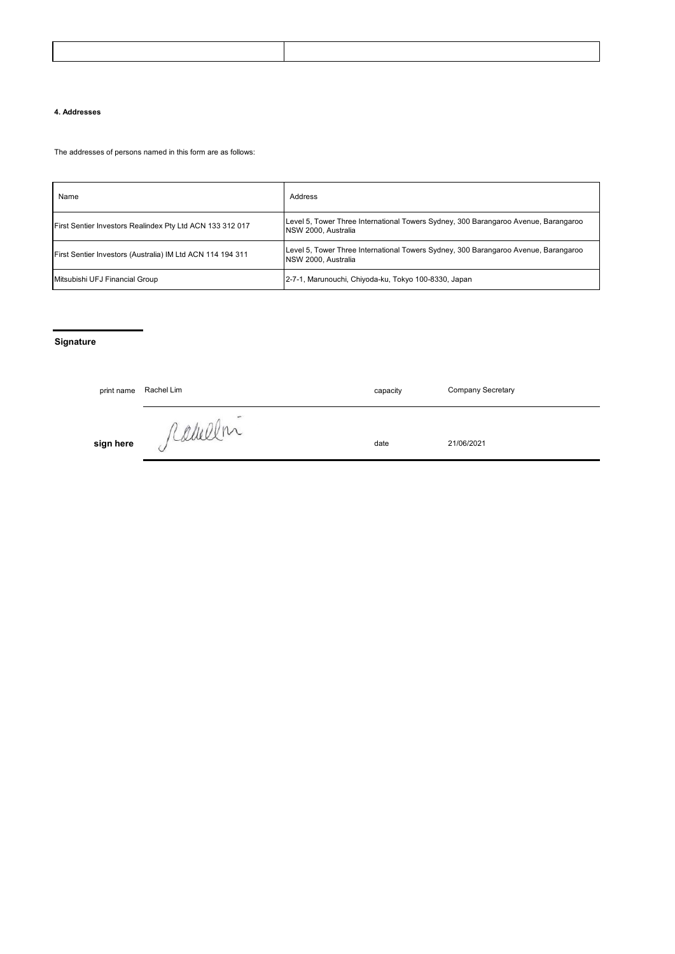## **4. Addresses**

The addresses of persons named in this form are as follows:

| Name                                                       | Address                                                                                                            |
|------------------------------------------------------------|--------------------------------------------------------------------------------------------------------------------|
| First Sentier Investors Realindex Pty Ltd ACN 133 312 017  | Level 5, Tower Three International Towers Sydney, 300 Barangaroo Avenue, Barangaroo<br>NSW 2000, Australia         |
| First Sentier Investors (Australia) IM Ltd ACN 114 194 311 | Level 5, Tower Three International Towers Sydney, 300 Barangaroo Avenue, Barangaroo<br><b>INSW 2000. Australia</b> |
| Mitsubishi UFJ Financial Group                             | 2-7-1, Marunouchi, Chiyoda-ku, Tokyo 100-8330, Japan                                                               |

# **Signature**

| print name | Rachel Lim                                        | capacity | Company Secretary |
|------------|---------------------------------------------------|----------|-------------------|
| sign here  | $\overline{\phantom{a}}$<br>icamer<br>$\check{ }$ | date     | 21/06/2021        |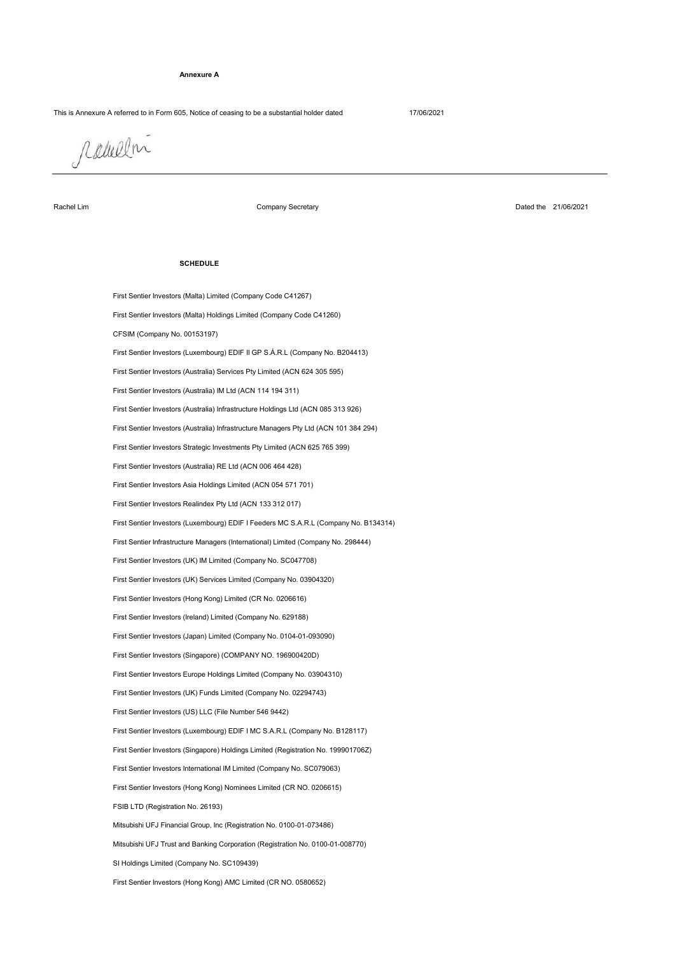#### **Annexure A**

## This is Annexure A referred to in Form 605, Notice of ceasing to be a substantial holder dated 17/06/2021

rabellni

Rachel Lim

Company Secretary

Dated the 21/06/2021

### **SCHEDULE**

First Sentier Investors (Malta) Limited (Company Code C41267)

SI Holdings Limited (Company No. SC109439) Mitsubishi UFJ Financial Group, Inc (Registration No. 0100-01-073486) FSIB LTD (Registration No. 26193) First Sentier Investors (Hong Kong) Nominees Limited (CR NO. 0206615) First Sentier Investors International IM Limited (Company No. SC079063) First Sentier Investors (Singapore) Holdings Limited (Registration No. 199901706Z) First Sentier Investors (Luxembourg) EDIF I MC S.A.R.L (Company No. B128117) Mitsubishi UFJ Trust and Banking Corporation (Registration No. 0100-01-008770) First Sentier Investors (Singapore) (COMPANY NO. 196900420D) First Sentier Investors Europe Holdings Limited (Company No. 03904310) First Sentier Investors (UK) Funds Limited (Company No. 02294743) First Sentier Investors (US) LLC (File Number 546 9442) First Sentier Investors (Hong Kong) Limited (CR No. 0206616) First Sentier Investors (UK) Services Limited (Company No. 03904320) First Sentier Investors (Japan) Limited (Company No. 0104-01-093090) First Sentier Investors (Ireland) Limited (Company No. 629188) First Sentier Investors (Hong Kong) AMC Limited (CR NO. 0580652) First Sentier Infrastructure Managers (International) Limited (Company No. 298444) First Sentier Investors (UK) IM Limited (Company No. SC047708) First Sentier Investors Realindex Pty Ltd (ACN 133 312 017) First Sentier Investors (Malta) Holdings Limited (Company Code C41260) CFSIM (Company No. 00153197) First Sentier Investors (Luxembourg) EDIF I Feeders MC S.A.R.L (Company No. B134314) First Sentier Investors Asia Holdings Limited (ACN 054 571 701) First Sentier Investors (Luxembourg) EDIF II GP S.Á.R.L (Company No. B204413) First Sentier Investors (Australia) Services Pty Limited (ACN 624 305 595) First Sentier Investors (Australia) RE Ltd (ACN 006 464 428) First Sentier Investors (Australia) IM Ltd (ACN 114 194 311) First Sentier Investors Strategic Investments Pty Limited (ACN 625 765 399) First Sentier Investors (Australia) Infrastructure Holdings Ltd (ACN 085 313 926) First Sentier Investors (Australia) Infrastructure Managers Pty Ltd (ACN 101 384 294)